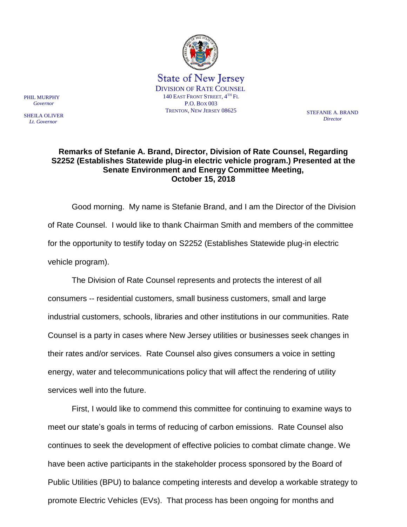

*Director*

## **Remarks of Stefanie A. Brand, Director, Division of Rate Counsel, Regarding S2252 (Establishes Statewide plug-in electric vehicle program.) Presented at the Senate Environment and Energy Committee Meeting, October 15, 2018**

Good morning. My name is Stefanie Brand, and I am the Director of the Division of Rate Counsel. I would like to thank Chairman Smith and members of the committee for the opportunity to testify today on S2252 (Establishes Statewide plug-in electric vehicle program).

The Division of Rate Counsel represents and protects the interest of all consumers -- residential customers, small business customers, small and large industrial customers, schools, libraries and other institutions in our communities. Rate Counsel is a party in cases where New Jersey utilities or businesses seek changes in their rates and/or services. Rate Counsel also gives consumers a voice in setting energy, water and telecommunications policy that will affect the rendering of utility services well into the future.

First, I would like to commend this committee for continuing to examine ways to meet our state's goals in terms of reducing of carbon emissions. Rate Counsel also continues to seek the development of effective policies to combat climate change. We have been active participants in the stakeholder process sponsored by the Board of Public Utilities (BPU) to balance competing interests and develop a workable strategy to promote Electric Vehicles (EVs). That process has been ongoing for months and

PHIL MURPHY  *Governor*

SHEILA OLIVER  *Lt. Governor*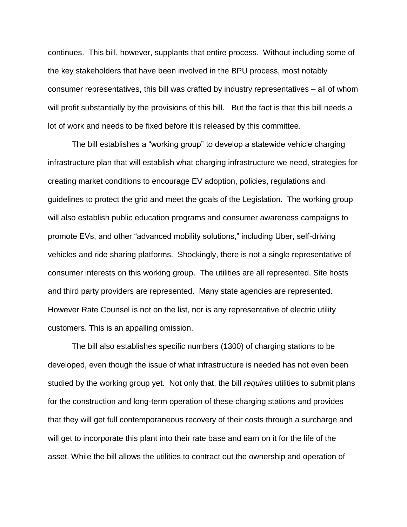continues. This bill, however, supplants that entire process. Without including some of the key stakeholders that have been involved in the BPU process, most notably consumer representatives, this bill was crafted by industry representatives – all of whom will profit substantially by the provisions of this bill. But the fact is that this bill needs a lot of work and needs to be fixed before it is released by this committee.

The bill establishes a "working group" to develop a statewide vehicle charging infrastructure plan that will establish what charging infrastructure we need, strategies for creating market conditions to encourage EV adoption, policies, regulations and guidelines to protect the grid and meet the goals of the Legislation. The working group will also establish public education programs and consumer awareness campaigns to promote EVs, and other "advanced mobility solutions," including Uber, self-driving vehicles and ride sharing platforms. Shockingly, there is not a single representative of consumer interests on this working group. The utilities are all represented. Site hosts and third party providers are represented. Many state agencies are represented. However Rate Counsel is not on the list, nor is any representative of electric utility customers. This is an appalling omission.

The bill also establishes specific numbers (1300) of charging stations to be developed, even though the issue of what infrastructure is needed has not even been studied by the working group yet. Not only that, the bill *requires* utilities to submit plans for the construction and long-term operation of these charging stations and provides that they will get full contemporaneous recovery of their costs through a surcharge and will get to incorporate this plant into their rate base and earn on it for the life of the asset. While the bill allows the utilities to contract out the ownership and operation of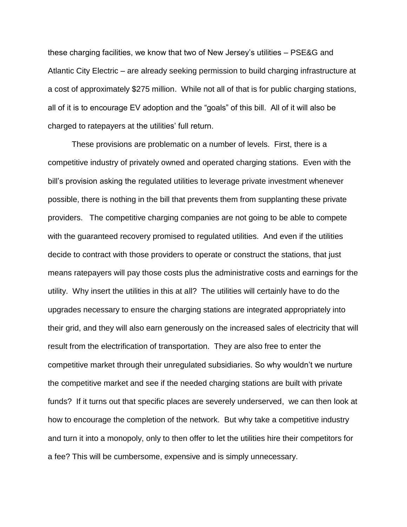these charging facilities, we know that two of New Jersey's utilities – PSE&G and Atlantic City Electric – are already seeking permission to build charging infrastructure at a cost of approximately \$275 million. While not all of that is for public charging stations, all of it is to encourage EV adoption and the "goals" of this bill. All of it will also be charged to ratepayers at the utilities' full return.

These provisions are problematic on a number of levels. First, there is a competitive industry of privately owned and operated charging stations. Even with the bill's provision asking the regulated utilities to leverage private investment whenever possible, there is nothing in the bill that prevents them from supplanting these private providers. The competitive charging companies are not going to be able to compete with the guaranteed recovery promised to regulated utilities. And even if the utilities decide to contract with those providers to operate or construct the stations, that just means ratepayers will pay those costs plus the administrative costs and earnings for the utility. Why insert the utilities in this at all? The utilities will certainly have to do the upgrades necessary to ensure the charging stations are integrated appropriately into their grid, and they will also earn generously on the increased sales of electricity that will result from the electrification of transportation. They are also free to enter the competitive market through their unregulated subsidiaries. So why wouldn't we nurture the competitive market and see if the needed charging stations are built with private funds? If it turns out that specific places are severely underserved, we can then look at how to encourage the completion of the network. But why take a competitive industry and turn it into a monopoly, only to then offer to let the utilities hire their competitors for a fee? This will be cumbersome, expensive and is simply unnecessary.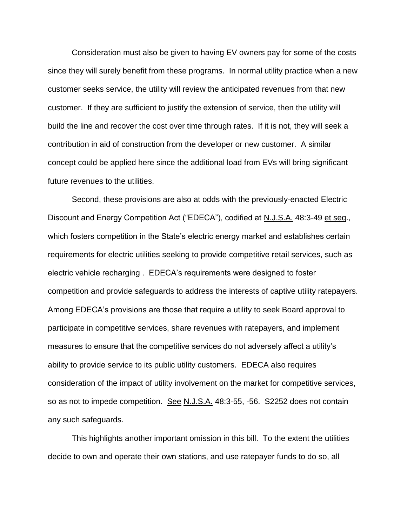Consideration must also be given to having EV owners pay for some of the costs since they will surely benefit from these programs. In normal utility practice when a new customer seeks service, the utility will review the anticipated revenues from that new customer. If they are sufficient to justify the extension of service, then the utility will build the line and recover the cost over time through rates. If it is not, they will seek a contribution in aid of construction from the developer or new customer. A similar concept could be applied here since the additional load from EVs will bring significant future revenues to the utilities.

Second, these provisions are also at odds with the previously-enacted Electric Discount and Energy Competition Act ("EDECA"), codified at N.J.S.A. 48:3-49 et seq., which fosters competition in the State's electric energy market and establishes certain requirements for electric utilities seeking to provide competitive retail services, such as electric vehicle recharging . EDECA's requirements were designed to foster competition and provide safeguards to address the interests of captive utility ratepayers. Among EDECA's provisions are those that require a utility to seek Board approval to participate in competitive services, share revenues with ratepayers, and implement measures to ensure that the competitive services do not adversely affect a utility's ability to provide service to its public utility customers. EDECA also requires consideration of the impact of utility involvement on the market for competitive services, so as not to impede competition. See N.J.S.A. 48:3-55, -56. S2252 does not contain any such safeguards.

This highlights another important omission in this bill. To the extent the utilities decide to own and operate their own stations, and use ratepayer funds to do so, all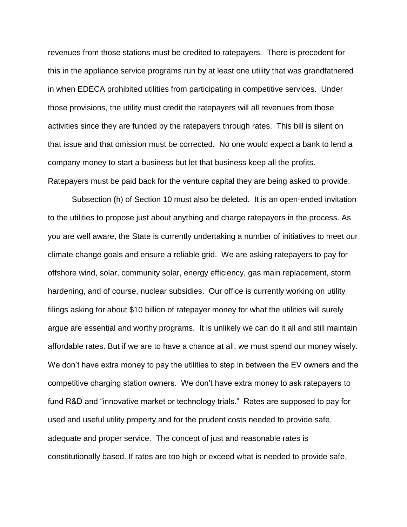revenues from those stations must be credited to ratepayers. There is precedent for this in the appliance service programs run by at least one utility that was grandfathered in when EDECA prohibited utilities from participating in competitive services. Under those provisions, the utility must credit the ratepayers will all revenues from those activities since they are funded by the ratepayers through rates. This bill is silent on that issue and that omission must be corrected. No one would expect a bank to lend a company money to start a business but let that business keep all the profits. Ratepayers must be paid back for the venture capital they are being asked to provide.

Subsection (h) of Section 10 must also be deleted. It is an open-ended invitation to the utilities to propose just about anything and charge ratepayers in the process. As you are well aware, the State is currently undertaking a number of initiatives to meet our climate change goals and ensure a reliable grid. We are asking ratepayers to pay for offshore wind, solar, community solar, energy efficiency, gas main replacement, storm hardening, and of course, nuclear subsidies. Our office is currently working on utility filings asking for about \$10 billion of ratepayer money for what the utilities will surely argue are essential and worthy programs. It is unlikely we can do it all and still maintain affordable rates. But if we are to have a chance at all, we must spend our money wisely. We don't have extra money to pay the utilities to step in between the EV owners and the competitive charging station owners. We don't have extra money to ask ratepayers to fund R&D and "innovative market or technology trials." Rates are supposed to pay for used and useful utility property and for the prudent costs needed to provide safe, adequate and proper service. The concept of just and reasonable rates is constitutionally based. If rates are too high or exceed what is needed to provide safe,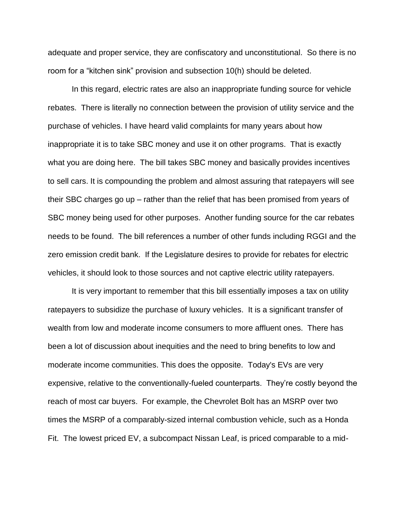adequate and proper service, they are confiscatory and unconstitutional. So there is no room for a "kitchen sink" provision and subsection 10(h) should be deleted.

In this regard, electric rates are also an inappropriate funding source for vehicle rebates. There is literally no connection between the provision of utility service and the purchase of vehicles. I have heard valid complaints for many years about how inappropriate it is to take SBC money and use it on other programs. That is exactly what you are doing here. The bill takes SBC money and basically provides incentives to sell cars. It is compounding the problem and almost assuring that ratepayers will see their SBC charges go up – rather than the relief that has been promised from years of SBC money being used for other purposes. Another funding source for the car rebates needs to be found. The bill references a number of other funds including RGGI and the zero emission credit bank. If the Legislature desires to provide for rebates for electric vehicles, it should look to those sources and not captive electric utility ratepayers.

It is very important to remember that this bill essentially imposes a tax on utility ratepayers to subsidize the purchase of luxury vehicles. It is a significant transfer of wealth from low and moderate income consumers to more affluent ones. There has been a lot of discussion about inequities and the need to bring benefits to low and moderate income communities. This does the opposite. Today's EVs are very expensive, relative to the conventionally-fueled counterparts. They're costly beyond the reach of most car buyers. For example, the Chevrolet Bolt has an MSRP over two times the MSRP of a comparably-sized internal combustion vehicle, such as a Honda Fit. The lowest priced EV, a subcompact Nissan Leaf, is priced comparable to a mid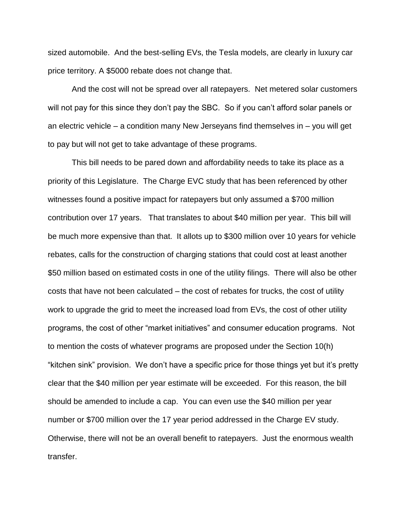sized automobile. And the best-selling EVs, the Tesla models, are clearly in luxury car price territory. A \$5000 rebate does not change that.

And the cost will not be spread over all ratepayers. Net metered solar customers will not pay for this since they don't pay the SBC. So if you can't afford solar panels or an electric vehicle – a condition many New Jerseyans find themselves in – you will get to pay but will not get to take advantage of these programs.

This bill needs to be pared down and affordability needs to take its place as a priority of this Legislature. The Charge EVC study that has been referenced by other witnesses found a positive impact for ratepayers but only assumed a \$700 million contribution over 17 years. That translates to about \$40 million per year. This bill will be much more expensive than that. It allots up to \$300 million over 10 years for vehicle rebates, calls for the construction of charging stations that could cost at least another \$50 million based on estimated costs in one of the utility filings. There will also be other costs that have not been calculated – the cost of rebates for trucks, the cost of utility work to upgrade the grid to meet the increased load from EVs, the cost of other utility programs, the cost of other "market initiatives" and consumer education programs. Not to mention the costs of whatever programs are proposed under the Section 10(h) "kitchen sink" provision. We don't have a specific price for those things yet but it's pretty clear that the \$40 million per year estimate will be exceeded. For this reason, the bill should be amended to include a cap. You can even use the \$40 million per year number or \$700 million over the 17 year period addressed in the Charge EV study. Otherwise, there will not be an overall benefit to ratepayers. Just the enormous wealth transfer.